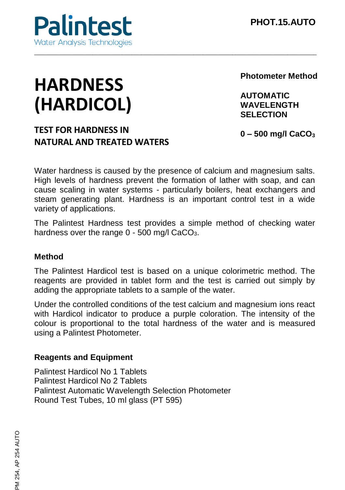

# **HARDNESS (HARDICOL)**

**Photometer Method**

**AUTOMATIC WAVELENGTH SELECTION**

## **TEST FOR HARDNESS IN NATURAL AND TREATED WATERS**

**0 – 500 mg/l CaCO<sup>3</sup>**

Water hardness is caused by the presence of calcium and magnesium salts. High levels of hardness prevent the formation of lather with soap, and can cause scaling in water systems - particularly boilers, heat exchangers and steam generating plant. Hardness is an important control test in a wide variety of applications.

\_\_\_\_\_\_\_\_\_\_\_\_\_\_\_\_\_\_\_\_\_\_\_\_\_\_\_\_\_\_\_\_\_\_\_\_\_\_\_\_\_\_\_\_\_\_\_\_\_\_\_\_\_\_\_\_\_\_\_\_\_\_\_\_\_\_\_\_\_\_\_\_\_\_\_\_\_\_\_\_\_\_\_\_\_\_\_

The Palintest Hardness test provides a simple method of checking water hardness over the range  $0 - 500$  mg/l CaCO<sub>3</sub>.

#### **Method**

The Palintest Hardicol test is based on a unique colorimetric method. The reagents are provided in tablet form and the test is carried out simply by adding the appropriate tablets to a sample of the water.

Under the controlled conditions of the test calcium and magnesium ions react with Hardicol indicator to produce a purple coloration. The intensity of the colour is proportional to the total hardness of the water and is measured using a Palintest Photometer.

#### **Reagents and Equipment**

Palintest Hardicol No 1 Tablets Palintest Hardicol No 2 Tablets Palintest Automatic Wavelength Selection Photometer Round Test Tubes, 10 ml glass (PT 595)